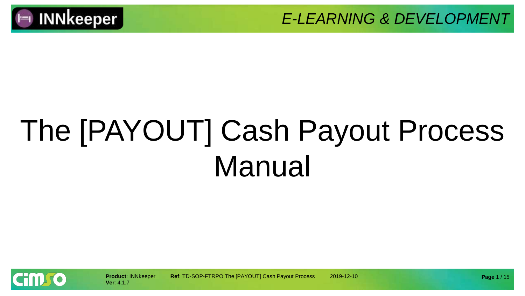

# The [PAYOUT] Cash Payout Process Manual

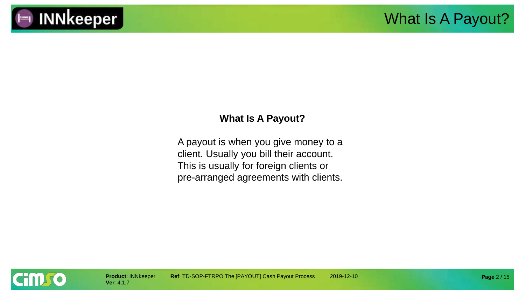

#### **What Is A Payout?**

A payout is when you give money to a client. Usually you bill their account. This is usually for foreign clients or pre-arranged agreements with clients.

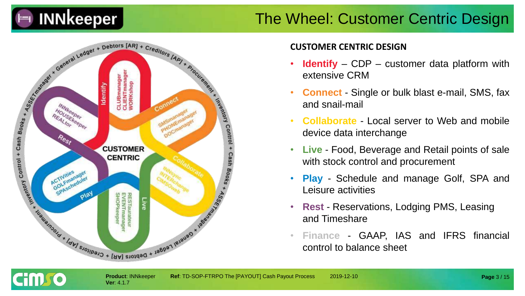

### The Wheel: Customer Centric Design



#### **CUSTOMER CENTRIC DESIGN**

- **Identify** CDP customer data platform with extensive CRM
- **Connect** Single or bulk blast e-mail, SMS, fax and snail-mail
- **Collaborate** Local server to Web and mobile device data interchange
- **Live** Food, Beverage and Retail points of sale with stock control and procurement
- **Play** Schedule and manage Golf, SPA and Leisure activities
- **Rest** Reservations, Lodging PMS, Leasing and Timeshare
- **Finance** GAAP, IAS and IFRS financial control to balance sheet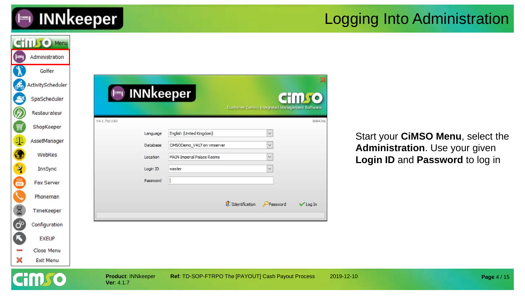

### Logging Into Administration

|                       | <b>CHILLIO Menu</b>     |                                         |                                                                             |                                                        |                     |                                   |             |
|-----------------------|-------------------------|-----------------------------------------|-----------------------------------------------------------------------------|--------------------------------------------------------|---------------------|-----------------------------------|-------------|
| ⊫                     | Administration          |                                         |                                                                             |                                                        |                     |                                   |             |
|                       | Golfer                  |                                         |                                                                             |                                                        |                     |                                   |             |
|                       | ActivityScheduler       |                                         |                                                                             |                                                        |                     |                                   |             |
|                       | SpaScheduler            |                                         | Im INNkeeper                                                                |                                                        | <b>CHILLIC</b>      |                                   |             |
| $\mathscr Q$          | Restaurateur            |                                         |                                                                             | <b>Customer Centric Integrated Management Software</b> |                     |                                   |             |
| Ų                     | ShopKeeper              | V4.1.7b11143                            |                                                                             |                                                        | 8d647da             |                                   |             |
| $\Phi$                | AssetManager            |                                         | English (United Kingdom)<br>Language                                        | $\vee$                                                 |                     | Start your CiMSO Menu, select the |             |
| C                     | WebRes                  |                                         | CIMSODemo_V417 on vmserver<br>Database<br><b>MAIN Imperial Palace Rooms</b> | $\checkmark$                                           |                     | Administration. Use your given    |             |
| $\mathbf{Z}$          | InnSync                 |                                         | Location<br>Login ID<br>master                                              |                                                        |                     | Login ID and Password to log in   |             |
| 鳳                     | Fax Server              |                                         | Password                                                                    |                                                        |                     |                                   |             |
|                       | Phoneman                |                                         |                                                                             |                                                        |                     |                                   |             |
| 8                     | TimeKeeper              |                                         |                                                                             | d <sup>o</sup> Identification<br>Password              | $\checkmark$ Log In |                                   |             |
|                       |                         |                                         |                                                                             |                                                        |                     |                                   |             |
| $\mathcal{O}^{\circ}$ | Configuration           |                                         |                                                                             |                                                        |                     |                                   |             |
| G                     | <b>EXEUP</b>            |                                         |                                                                             |                                                        |                     |                                   |             |
| ×                     | Close Menu<br>Exit Menu |                                         |                                                                             |                                                        |                     |                                   |             |
|                       |                         |                                         |                                                                             |                                                        |                     |                                   |             |
|                       |                         | <b>Product: INNkeeper</b><br>Ver: 4.1.7 |                                                                             | Ref: TD-SOP-FTRPO The [PAYOUT] Cash Payout Process     |                     | 2019-12-10                        | Page 4 / 15 |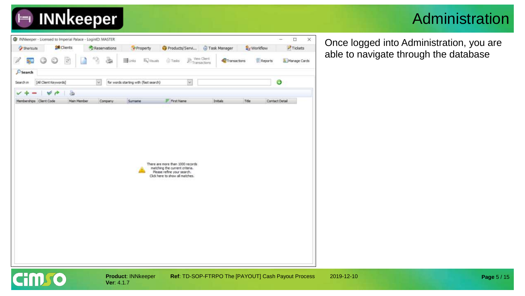

### Administration



Once logged into Administration, you are able to navigate through the database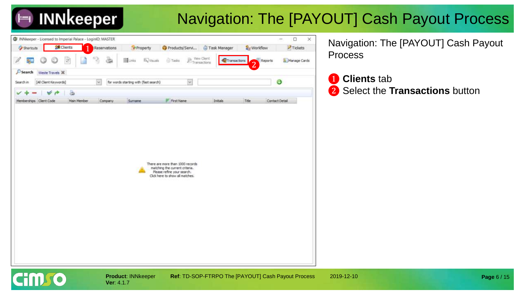

## Navigation: The [PAYOUT] Cash Payout Process



**Ver**: 4.1.7

Navigation: The [PAYOUT] Cash Payout Process

❶ **Clients** tab ❷ Select the **Transactions** button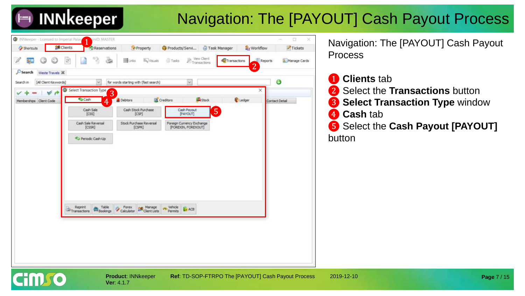## Navigation: The [PAYOUT] Cash Payout Process



**Ver**: 4.1.7

**Product: INNkeeper Ref: TD-SOP-FTRPO The [PAYOUT] Cash Payout Process 2019-12-10** 

Navigation: The [PAYOUT] Cash Payout Process

**Clients** tab ❷ Select the **Transactions** button ❸ **Select Transaction Type** window ❹ **Cash** tab ❺ Select the **Cash Payout [PAYOUT]**  button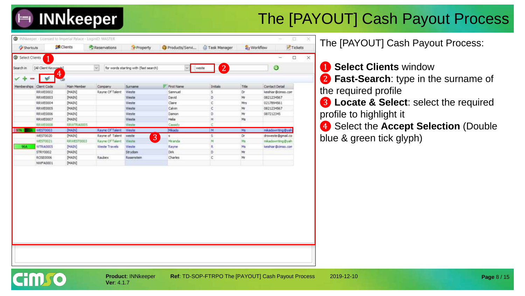## The [PAYOUT] Cash Payout Process

|                  |                            | INNikeeper - Licensed to Imperial Palace - LogintD: MASTER |                 |                                       |                   |                         |        | n<br>$-100$                       |
|------------------|----------------------------|------------------------------------------------------------|-----------------|---------------------------------------|-------------------|-------------------------|--------|-----------------------------------|
| Shortcuts        |                            | <b>ER</b> Clients                                          | Reservations    | <b>A</b> Property                     | Products/Servi    | Task Manager            |        | <b>Art</b> Workflow<br>$T$ ickets |
| G Select Clients |                            |                                                            |                 |                                       |                   |                         |        | $\equiv$<br>□                     |
| Search in        | [All Client Keywoods]<br>4 |                                                            | $\sim$          | for words starting with (fast search) | $\sim$            | $\overline{2}$<br>weste |        | ◔                                 |
|                  |                            |                                                            |                 |                                       |                   |                         |        |                                   |
| Memberships      | Client Code                | Main Member                                                | Company         | <b>Surname</b>                        | <b>First Name</b> | Initials                | Title: | <b>Contact Detail</b>             |
|                  | RRWE0002                   | [MAIN]                                                     | Rayne Of Talent | Weste                                 | Sammuel           | s                       | Dr.    | keishiar@cimso.com                |
|                  | RRWE0003                   | [MAIN]                                                     |                 | Weste                                 | David             | D                       | Mr     | 0821234567                        |
|                  | RRWE0004                   | [MAIN]                                                     |                 | Weste                                 | Claire            | Ċ                       | Mrs    | 0217894561                        |
|                  | RRWE0005                   | [MAIN]                                                     |                 | Weste                                 | Calvin            | c                       | Mr     | 0821234567                        |
|                  | RRWE0006                   | [MAIN]                                                     |                 | Weste                                 | Damon             | D                       | Mr     | 087212345                         |
|                  | RRWE0007                   | [MAIN]                                                     |                 | Weste                                 | Helia             | н                       | Ms     |                                   |
|                  | <b>RRWEO008</b>            | RRWTRA0005                                                 |                 | Weste                                 | Cassidy           |                         |        |                                   |
|                  | WEST0003                   | [MAIN]                                                     | Rayne Of Talent | Weste                                 | Mikado            | M                       | Ms     | mikadowriting@yah                 |
|                  | WEST0020                   | <b>[MAIN]</b>                                              | Rayne of Talent | weste<br>3                            | 5                 | s                       | Dŕ     | drsweste@gmail.co                 |
|                  | WEST0021                   | RRWEST0003                                                 | Rayne Of Talent | Weste                                 | Miranda           | M                       | Ms     | mkadowntmo@yah                    |
| 96A              | WTRA0005                   | [MAIN]                                                     | Weste Travels   | Weste                                 | Rayne             | R                       | Ms     | keishiar @cinso.com               |
|                  | STRY0002                   | [MAIN]                                                     |                 | Strydom                               | Dirk.             | D.                      | Mr     |                                   |
|                  | ROSE0006                   | [MAIN]                                                     | Raubex          | Rosenstein                            | Charles           | c                       | Mŕ     |                                   |
|                  | NWFA0001                   | [MAIN]                                                     |                 |                                       |                   |                         |        |                                   |

The [PAYOUT] Cash Payout Process:

#### ❶ **Select Clients** window

**2 Fast-Search**: type in the surname of the required profile

❸ **Locate & Select**: select the required profile to highlight it

❹ Select the **Accept Selection** (Double blue & green tick glyph)

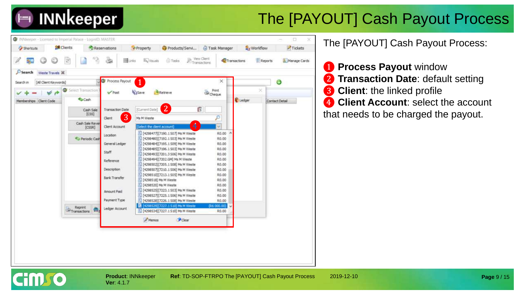

## The [PAYOUT] Cash Payout Process



The [PAYOUT] Cash Payout Process:

❶ **Process Payout** window **Transaction Date: default setting 3** Client: the linked profile **Client Account: select the account** that needs to be charged the payout.

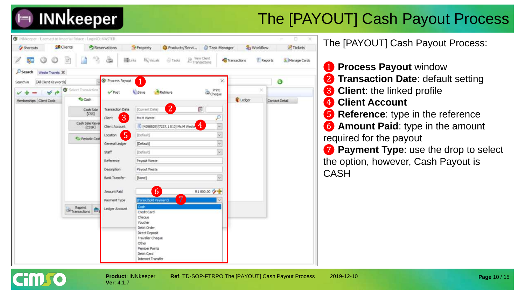## The [PAYOUT] Cash Payout Process



**Ver**: 4.1.7

cim to

**Product**: INNkeeper **Ref**: TD-SOP-FTRPO The [PAYOUT] Cash Payout Process 2019-12-10

The [PAYOUT] Cash Payout Process:

❶ **Process Payout** window **Transaction Date: default setting Client:** the linked profile **Client Account Reference:** type in the reference **6** Amount Paid: type in the amount required for the payout *P* Payment Type: use the drop to select the option, however, Cash Payout is CASH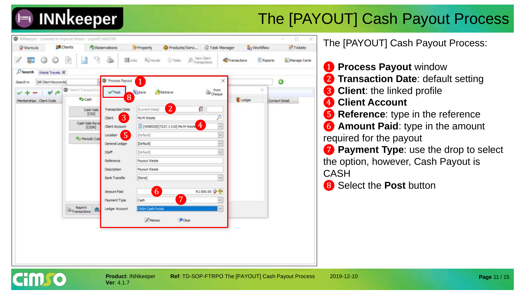## The [PAYOUT] Cash Payout Process

| <b>Shortcuts</b>                        | & Clients                                                                                                                                                                                                                                                                                                                                                                                                                                                                                                                                                                                                                                                                                                                                                                     | Reservations            | Property          | Products/Servi Task Manager        |                                                    | <b>Azy Workflow</b> | $\triangleright$ Tickets  |
|-----------------------------------------|-------------------------------------------------------------------------------------------------------------------------------------------------------------------------------------------------------------------------------------------------------------------------------------------------------------------------------------------------------------------------------------------------------------------------------------------------------------------------------------------------------------------------------------------------------------------------------------------------------------------------------------------------------------------------------------------------------------------------------------------------------------------------------|-------------------------|-------------------|------------------------------------|----------------------------------------------------|---------------------|---------------------------|
| SL.                                     | $[2] \centering% \includegraphics[width=0.3\textwidth]{images/STT.png} \caption{The first two different values of $T$ (left) and $T$ (right) are the same as a function of $T$. The first two different values of $T$ (right) are the same as a function of $T$. The first two different values of $T$ (right) and $T$. The first two different values of $T$ (right) are the same as a function of $T$. The first two different values of $T$ (right) and $T$. The first two different values of $T$ (right) are the same as a function of $T$. The first two different values of $T$ (right) and $T$. The first two different values of $T$ (right) and $T$. The first two different values of $T$ (right) and $T$. The first two different values of $T$ (right) and $T$.$ | <b>國unks</b><br>۵       | <b>By Visuals</b> | <b>G</b> Tasks                     | View Client<br>$\mathcal{D}_{\text{Transactions}}$ | Transactions        | Reports<br>A Manage Cards |
| $\mathcal{D}$ Search<br>Weste Travels X |                                                                                                                                                                                                                                                                                                                                                                                                                                                                                                                                                                                                                                                                                                                                                                               |                         |                   |                                    |                                                    |                     |                           |
| [All Client Keywords]<br>Search in      |                                                                                                                                                                                                                                                                                                                                                                                                                                                                                                                                                                                                                                                                                                                                                                               | <b>O</b> Process Payout |                   |                                    | $\times$                                           |                     | Ø                         |
| V A                                     | G Select Transaction                                                                                                                                                                                                                                                                                                                                                                                                                                                                                                                                                                                                                                                                                                                                                          | $\sqrt{P}$ ost          | <b>Wijsave</b>    | Retrieve                           | Print<br>Cheque                                    |                     | ×                         |
| Memberships Client Code                 | Cash                                                                                                                                                                                                                                                                                                                                                                                                                                                                                                                                                                                                                                                                                                                                                                          | 8                       |                   |                                    |                                                    | Ledger              | Contact Detail            |
|                                         | Cash Sale<br>[CS5]                                                                                                                                                                                                                                                                                                                                                                                                                                                                                                                                                                                                                                                                                                                                                            | <b>Transaction Date</b> | [Current Date]    | $\overline{2}$                     | Ľ.                                                 |                     |                           |
|                                         | Cash Sale Reve                                                                                                                                                                                                                                                                                                                                                                                                                                                                                                                                                                                                                                                                                                                                                                | 3<br>Client             | Ms M Weste        |                                    | p                                                  |                     |                           |
|                                         | [CSS]                                                                                                                                                                                                                                                                                                                                                                                                                                                                                                                                                                                                                                                                                                                                                                         | Client Account          |                   | [4298529] [7227.1510] Ms M West. 4 | $\omega$                                           |                     |                           |
|                                         | Periodic Cas                                                                                                                                                                                                                                                                                                                                                                                                                                                                                                                                                                                                                                                                                                                                                                  | 5<br>Location           | [Default]         |                                    | $\sim$                                             |                     |                           |
|                                         |                                                                                                                                                                                                                                                                                                                                                                                                                                                                                                                                                                                                                                                                                                                                                                               | General Ledger          | [Default]         |                                    | Ŵ.                                                 |                     |                           |
|                                         |                                                                                                                                                                                                                                                                                                                                                                                                                                                                                                                                                                                                                                                                                                                                                                               | Staff                   | (Default)         |                                    | $\omega$                                           |                     |                           |
|                                         |                                                                                                                                                                                                                                                                                                                                                                                                                                                                                                                                                                                                                                                                                                                                                                               | Reference               | Payout Weste      |                                    |                                                    |                     |                           |
|                                         |                                                                                                                                                                                                                                                                                                                                                                                                                                                                                                                                                                                                                                                                                                                                                                               | Description             | Payout Weste      |                                    |                                                    |                     |                           |
|                                         |                                                                                                                                                                                                                                                                                                                                                                                                                                                                                                                                                                                                                                                                                                                                                                               | Bank Transfer           | [None]            |                                    | $\overline{\phantom{a}}$                           |                     |                           |
|                                         |                                                                                                                                                                                                                                                                                                                                                                                                                                                                                                                                                                                                                                                                                                                                                                               | Amount Paid             | $\boxed{6}$       |                                    | R1000.00 少 <del>空</del>                            |                     |                           |
|                                         |                                                                                                                                                                                                                                                                                                                                                                                                                                                                                                                                                                                                                                                                                                                                                                               | Payment Type            | Cash              | $\overline{7}$                     |                                                    |                     |                           |
|                                         | Reprint<br>$\geq$ <sub>Transactions</sub>                                                                                                                                                                                                                                                                                                                                                                                                                                                                                                                                                                                                                                                                                                                                     | Ledger Account          | CASH Cash Funds   |                                    |                                                    |                     |                           |
|                                         |                                                                                                                                                                                                                                                                                                                                                                                                                                                                                                                                                                                                                                                                                                                                                                               |                         | A Memos           | Clear                              |                                                    |                     |                           |
|                                         |                                                                                                                                                                                                                                                                                                                                                                                                                                                                                                                                                                                                                                                                                                                                                                               |                         |                   |                                    |                                                    |                     |                           |

he [PAYOUT] Cash Payout Process:

❶ **Process Payout** window ❷ **Transaction Date**: default setting ❸ **Client**: the linked profile ❹ **Client Account** ❺ **Reference**: type in the reference **Amount Paid: type in the amount** quired for the payout ❼ **Payment Type**: use the drop to select e option, however, Cash Payout is ASH

❽ Select the **Post** button

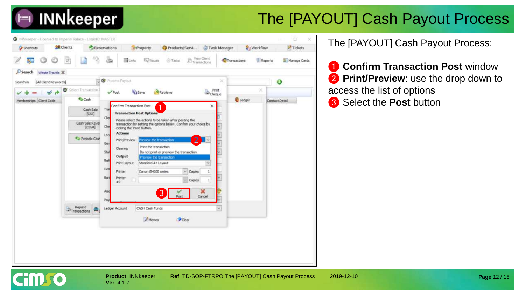

## The [PAYOUT] Cash Payout Process



**Ver**: 4.1.7

**Cimro** 

**Product: INNkeeper Ref: TD-SOP-FTRPO The [PAYOUT] Cash Payout Process 2019-12-10** 

The [PAYOUT] Cash Payout Process:

**1 Confirm Transaction Post** window ❷ **Print/Preview**: use the drop down to access the list of options

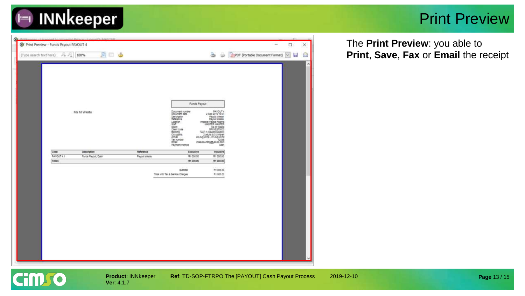

 $\sim$ 

### Print Preview

| The <b>Print Preview</b> : you able to |
|----------------------------------------|
| Print, Save, Fax or Email the receipt  |

| (Type search text here) | $P_{\rm T}$ $P_{\rm A}$ | 100%<br>31                         | <b>D</b> O                        |                                                                                                                                              |                                                                                                                                                                                                                                   |                               | [ DPDF (Portable Document Format)<br>$\sim$ |
|-------------------------|-------------------------|------------------------------------|-----------------------------------|----------------------------------------------------------------------------------------------------------------------------------------------|-----------------------------------------------------------------------------------------------------------------------------------------------------------------------------------------------------------------------------------|-------------------------------|---------------------------------------------|
|                         |                         | Ms M Weste                         |                                   | Document number<br>Document date<br>Description<br>Reference<br>Location<br>Client<br>Chert code<br>Sooking<br><b>CCCLEARTS</b><br>Althalt : | <b>Funds Payout</b><br>2 Sep 2019 10:07<br>Päyöut Weste<br><b>Payout Wests</b><br>Imperial Palace Rooms<br>PSAGTER MAGTER<br><b>SIA 1/4 Virentle</b><br>MANESTOOLS<br>T22T.1 (Square Double)<br>28 Aug 2019 - 31 Aug 2019<br>Ebdd | <b>PAYOUT 4</b>               |                                             |
|                         |                         |                                    |                                   | Tax number<br><b>Email</b><br>Payment method                                                                                                 | mkadowriting@jahoo.com                                                                                                                                                                                                            | Cash                          |                                             |
|                         | Code<br>PAYOUT 4.1      | Deecription:<br>Funds Payout, Cash | Reference<br><b>Payout Wester</b> |                                                                                                                                              | Exclusive<br>R1000.00                                                                                                                                                                                                             | <b>Inclusive</b><br>R1 000.00 |                                             |
|                         | <b>Totals</b>           |                                    |                                   |                                                                                                                                              | R1 000.00                                                                                                                                                                                                                         | R1 000.00                     |                                             |
|                         |                         |                                    |                                   | <b>Butnotar</b><br>Total with Tax & Service Charges                                                                                          |                                                                                                                                                                                                                                   | R1 000.00<br>A1 000.00        |                                             |
|                         |                         |                                    |                                   |                                                                                                                                              |                                                                                                                                                                                                                                   |                               |                                             |

 $\times$ a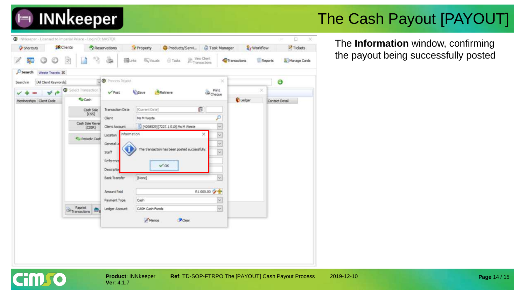

## The Cash Payout [PAYOUT]

WiNNeeper - Licensed to Imperial Palace - LoginID; MASTER Ü  $\infty$ **R** Clients Reservations Products/Servi... Task Manager **A**x Workflow  $\blacktriangleright$  Tickets Property **Cy Shortcuts**  $\mathbb{B}$  Transactions 霍 **E** Reports **Billinks Es Visuals** G Tados Transactions Manage Cards  $\mathcal{D}$  Search Weste Travels 30 **O** Process Payout ×  $\bullet$ [All Client Keywords] Search in ۱ lect Transaction Print<br>Cheque Retrieve ú  $\sqrt{Post}$ Li Save Cash Ledger Memberships Client Code Contact Detail fi **Transaction Date** fCurrent Date] Cash Sale  $[CS5]$ ö Client Ms M Weste Cash Sale Rever  $\overline{\phantom{0}}$ [4298529][7227.1 S10] Ms M Weste Client Account [CSSR]  $\overline{\phantom{0}}$ nformation Location Periodic Cash  $\overline{\circ}$ General The transaction has been posted successfully.  $\overline{\phantom{0}}$ Staff Reference  $V$  OK Descriptio (None)  $\overline{\phantom{0}}$ **Bank Transfer** R1000.00 2 全 Amount Paid  $\check{\phantom{a}}$ Cash Payment Type  $\overline{\Psi}$ Reprint Ledger Account CASH Cash Funds Transactions Clear **Memos** 

The **Information** window, confirming the payout being successfully posted